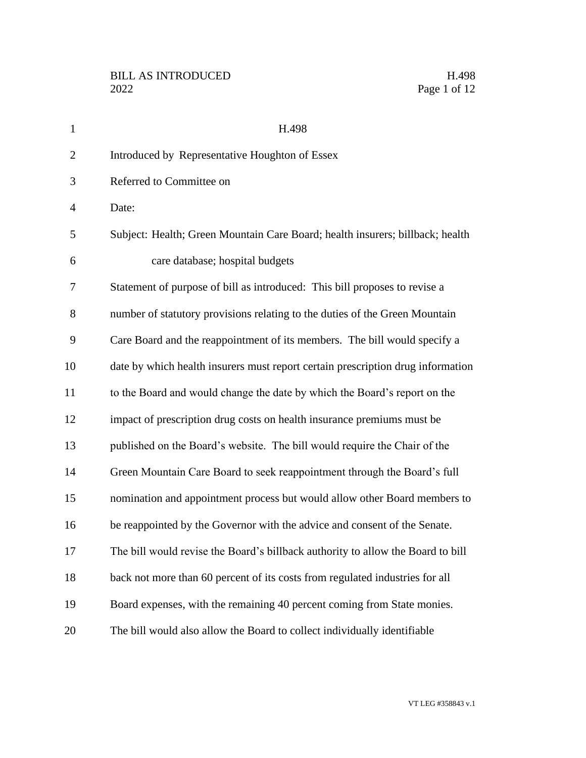| $\mathbf{1}$   | H.498                                                                           |  |
|----------------|---------------------------------------------------------------------------------|--|
| $\overline{2}$ | Introduced by Representative Houghton of Essex                                  |  |
| 3              | Referred to Committee on                                                        |  |
| $\overline{4}$ | Date:                                                                           |  |
| 5              | Subject: Health; Green Mountain Care Board; health insurers; billback; health   |  |
| 6              | care database; hospital budgets                                                 |  |
| 7              | Statement of purpose of bill as introduced: This bill proposes to revise a      |  |
| 8              | number of statutory provisions relating to the duties of the Green Mountain     |  |
| 9              | Care Board and the reappointment of its members. The bill would specify a       |  |
| 10             | date by which health insurers must report certain prescription drug information |  |
| 11             | to the Board and would change the date by which the Board's report on the       |  |
| 12             | impact of prescription drug costs on health insurance premiums must be          |  |
| 13             | published on the Board's website. The bill would require the Chair of the       |  |
| 14             | Green Mountain Care Board to seek reappointment through the Board's full        |  |
| 15             | nomination and appointment process but would allow other Board members to       |  |
| 16             | be reappointed by the Governor with the advice and consent of the Senate.       |  |
| 17             | The bill would revise the Board's billback authority to allow the Board to bill |  |
| 18             | back not more than 60 percent of its costs from regulated industries for all    |  |
| 19             | Board expenses, with the remaining 40 percent coming from State monies.         |  |
| 20             | The bill would also allow the Board to collect individually identifiable        |  |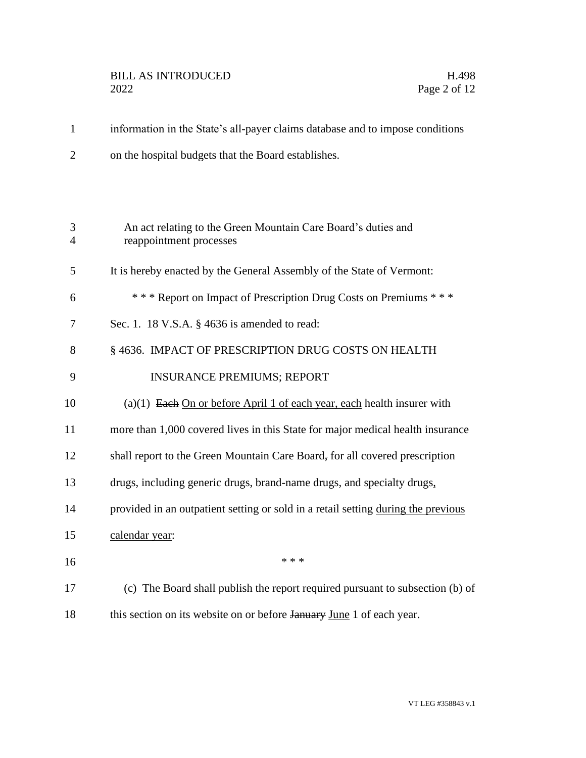## BILL AS INTRODUCED H.498<br>2022 Page 2 of 12

1 information in the State's all-payer claims database and to impose conditions 2 on the hospital budgets that the Board establishes.

| 3<br>4 | An act relating to the Green Mountain Care Board's duties and<br>reappointment processes |
|--------|------------------------------------------------------------------------------------------|
| 5      | It is hereby enacted by the General Assembly of the State of Vermont:                    |
| 6      | *** Report on Impact of Prescription Drug Costs on Premiums ***                          |
| 7      | Sec. 1. 18 V.S.A. § 4636 is amended to read:                                             |
| 8      | § 4636. IMPACT OF PRESCRIPTION DRUG COSTS ON HEALTH                                      |
| 9      | <b>INSURANCE PREMIUMS; REPORT</b>                                                        |
| 10     | (a)(1) Each On or before April 1 of each year, each health insurer with                  |
| 11     | more than 1,000 covered lives in this State for major medical health insurance           |
| 12     | shall report to the Green Mountain Care Board, for all covered prescription              |
| 13     | drugs, including generic drugs, brand-name drugs, and specialty drugs,                   |
| 14     | provided in an outpatient setting or sold in a retail setting during the previous        |
| 15     | calendar year:                                                                           |
| 16     | * * *                                                                                    |
| 17     | (c) The Board shall publish the report required pursuant to subsection (b) of            |
| 18     | this section on its website on or before January June 1 of each year.                    |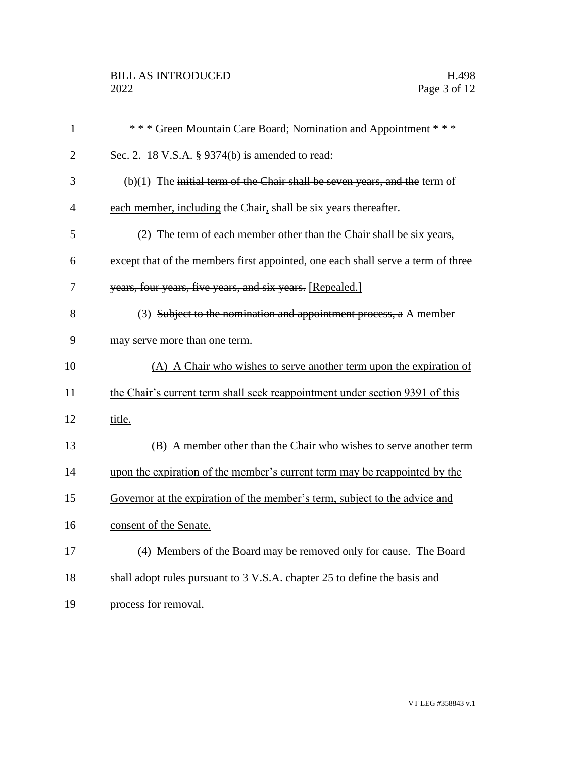| $\mathbf{1}$   | *** Green Mountain Care Board; Nomination and Appointment ***                    |  |
|----------------|----------------------------------------------------------------------------------|--|
| $\overline{2}$ | Sec. 2. 18 V.S.A. § 9374(b) is amended to read:                                  |  |
| 3              | $(b)(1)$ The initial term of the Chair shall be seven years, and the term of     |  |
| $\overline{4}$ | each member, including the Chair, shall be six years thereafter.                 |  |
| 5              | (2) The term of each member other than the Chair shall be six years,             |  |
| 6              | except that of the members first appointed, one each shall serve a term of three |  |
| 7              | years, four years, five years, and six years. [Repealed.]                        |  |
| 8              | (3) Subject to the nomination and appointment process, a A member                |  |
| 9              | may serve more than one term.                                                    |  |
| 10             | (A) A Chair who wishes to serve another term upon the expiration of              |  |
| 11             | the Chair's current term shall seek reappointment under section 9391 of this     |  |
| 12             | title.                                                                           |  |
| 13             | (B) A member other than the Chair who wishes to serve another term               |  |
| 14             | upon the expiration of the member's current term may be reappointed by the       |  |
| 15             | Governor at the expiration of the member's term, subject to the advice and       |  |
| 16             | consent of the Senate.                                                           |  |
| 17             | (4) Members of the Board may be removed only for cause. The Board                |  |
| 18             | shall adopt rules pursuant to 3 V.S.A. chapter 25 to define the basis and        |  |
| 19             | process for removal.                                                             |  |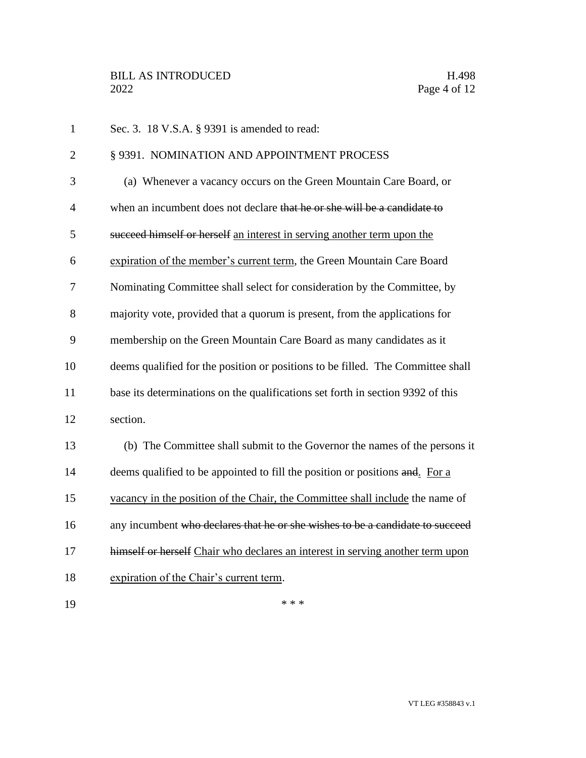| $\mathbf{1}$   | Sec. 3. 18 V.S.A. § 9391 is amended to read:                                    |
|----------------|---------------------------------------------------------------------------------|
| $\overline{2}$ | § 9391. NOMINATION AND APPOINTMENT PROCESS                                      |
| 3              | (a) Whenever a vacancy occurs on the Green Mountain Care Board, or              |
| $\overline{4}$ | when an incumbent does not declare that he or she will be a candidate to        |
| 5              | succeed himself or herself an interest in serving another term upon the         |
| 6              | expiration of the member's current term, the Green Mountain Care Board          |
| 7              | Nominating Committee shall select for consideration by the Committee, by        |
| 8              | majority vote, provided that a quorum is present, from the applications for     |
| 9              | membership on the Green Mountain Care Board as many candidates as it            |
| 10             | deems qualified for the position or positions to be filled. The Committee shall |
| 11             | base its determinations on the qualifications set forth in section 9392 of this |
| 12             | section.                                                                        |
| 13             | (b) The Committee shall submit to the Governor the names of the persons it      |
| 14             | deems qualified to be appointed to fill the position or positions and. For a    |
| 15             | vacancy in the position of the Chair, the Committee shall include the name of   |
| 16             | any incumbent who declares that he or she wishes to be a candidate to succeed   |
| 17             | himself or herself Chair who declares an interest in serving another term upon  |
| 18             | expiration of the Chair's current term.                                         |
| 19             | * * *                                                                           |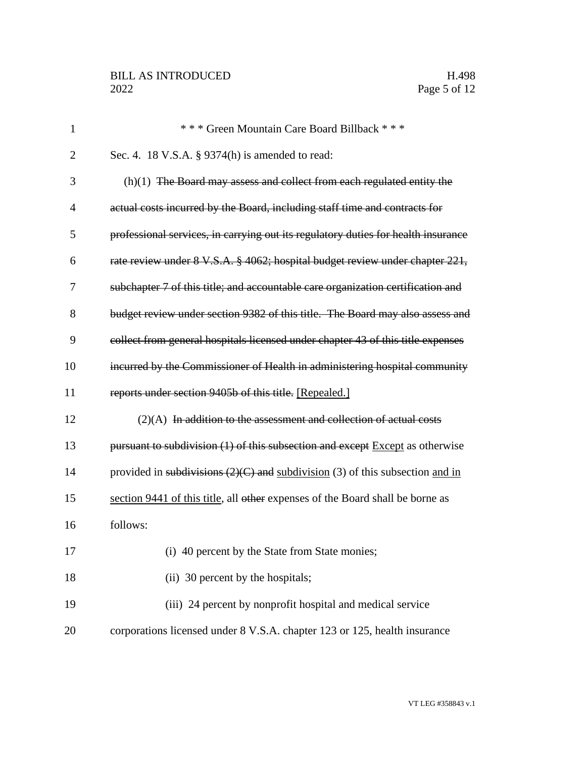| $\mathbf{1}$   | *** Green Mountain Care Board Billback ***                                        |
|----------------|-----------------------------------------------------------------------------------|
| $\overline{2}$ | Sec. 4. 18 V.S.A. § 9374(h) is amended to read:                                   |
| 3              | $(h)(1)$ The Board may assess and collect from each regulated entity the          |
| $\overline{4}$ | actual costs incurred by the Board, including staff time and contracts for        |
| 5              | professional services, in carrying out its regulatory duties for health insurance |
| 6              | rate review under 8 V.S.A. § 4062; hospital budget review under chapter 221,      |
| 7              | subchapter 7 of this title; and accountable care organization certification and   |
| 8              | budget review under section 9382 of this title. The Board may also assess and     |
| 9              | collect from general hospitals licensed under chapter 43 of this title expenses   |
| 10             | incurred by the Commissioner of Health in administering hospital community        |
| 11             | reports under section 9405b of this title. [Repealed.]                            |
| 12             | $(2)(A)$ In addition to the assessment and collection of actual costs             |
| 13             | pursuant to subdivision (1) of this subsection and except Except as otherwise     |
| 14             | provided in subdivisions $(2)(C)$ and subdivision (3) of this subsection and in   |
| 15             | section 9441 of this title, all other expenses of the Board shall be borne as     |
| 16             | follows:                                                                          |
| 17             | (i) 40 percent by the State from State monies;                                    |
| 18             | (ii) 30 percent by the hospitals;                                                 |
| 19             | (iii) 24 percent by nonprofit hospital and medical service                        |
| 20             | corporations licensed under 8 V.S.A. chapter 123 or 125, health insurance         |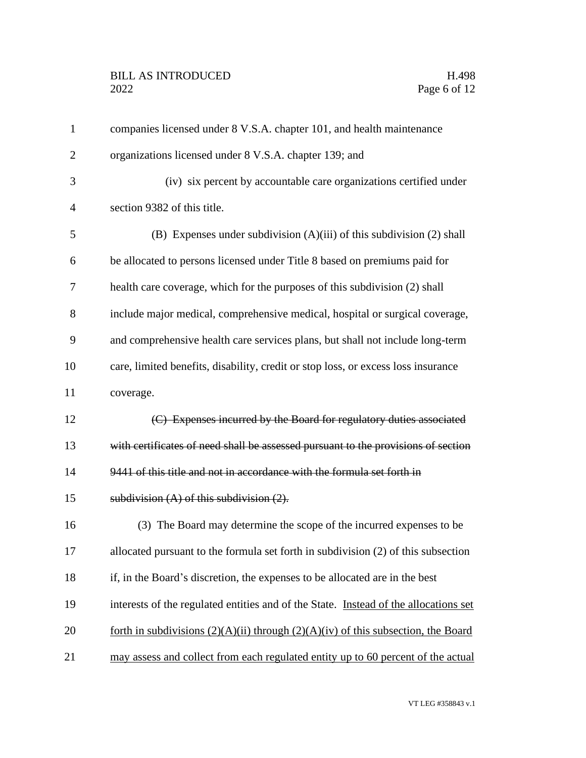| $\mathbf{1}$   | companies licensed under 8 V.S.A. chapter 101, and health maintenance                 |  |
|----------------|---------------------------------------------------------------------------------------|--|
| $\overline{2}$ | organizations licensed under 8 V.S.A. chapter 139; and                                |  |
| 3              | (iv) six percent by accountable care organizations certified under                    |  |
| 4              | section 9382 of this title.                                                           |  |
| 5              | (B) Expenses under subdivision $(A)(iii)$ of this subdivision $(2)$ shall             |  |
| 6              | be allocated to persons licensed under Title 8 based on premiums paid for             |  |
| 7              | health care coverage, which for the purposes of this subdivision (2) shall            |  |
| 8              | include major medical, comprehensive medical, hospital or surgical coverage,          |  |
| 9              | and comprehensive health care services plans, but shall not include long-term         |  |
| 10             | care, limited benefits, disability, credit or stop loss, or excess loss insurance     |  |
| 11             | coverage.                                                                             |  |
| 12             | (C) Expenses incurred by the Board for regulatory duties associated                   |  |
| 13             | with certificates of need shall be assessed pursuant to the provisions of section     |  |
| 14             | 9441 of this title and not in accordance with the formula set forth in                |  |
| 15             | subdivision $(A)$ of this subdivision $(2)$ .                                         |  |
| 16             | (3) The Board may determine the scope of the incurred expenses to be                  |  |
| 17             | allocated pursuant to the formula set forth in subdivision (2) of this subsection     |  |
| 18             | if, in the Board's discretion, the expenses to be allocated are in the best           |  |
| 19             | interests of the regulated entities and of the State. Instead of the allocations set  |  |
| 20             | forth in subdivisions $(2)(A)(ii)$ through $(2)(A)(iv)$ of this subsection, the Board |  |
| 21             | may assess and collect from each regulated entity up to 60 percent of the actual      |  |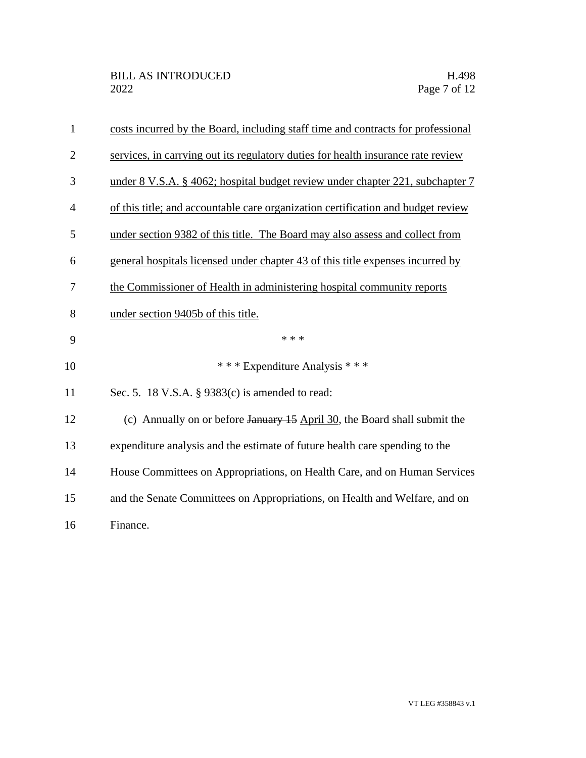| $\mathbf{1}$   | costs incurred by the Board, including staff time and contracts for professional |
|----------------|----------------------------------------------------------------------------------|
| $\overline{2}$ | services, in carrying out its regulatory duties for health insurance rate review |
| 3              | under 8 V.S.A. § 4062; hospital budget review under chapter 221, subchapter 7    |
| $\overline{4}$ | of this title; and accountable care organization certification and budget review |
| 5              | under section 9382 of this title. The Board may also assess and collect from     |
| 6              | general hospitals licensed under chapter 43 of this title expenses incurred by   |
| 7              | the Commissioner of Health in administering hospital community reports           |
| 8              | under section 9405b of this title.                                               |
| 9              | * * *                                                                            |
| 10             | *** Expenditure Analysis ***                                                     |
| 11             | Sec. 5. 18 V.S.A. § 9383(c) is amended to read:                                  |
| 12             | (c) Annually on or before January 15 April 30, the Board shall submit the        |
| 13             | expenditure analysis and the estimate of future health care spending to the      |
| 14             | House Committees on Appropriations, on Health Care, and on Human Services        |
| 15             | and the Senate Committees on Appropriations, on Health and Welfare, and on       |
| 16             | Finance.                                                                         |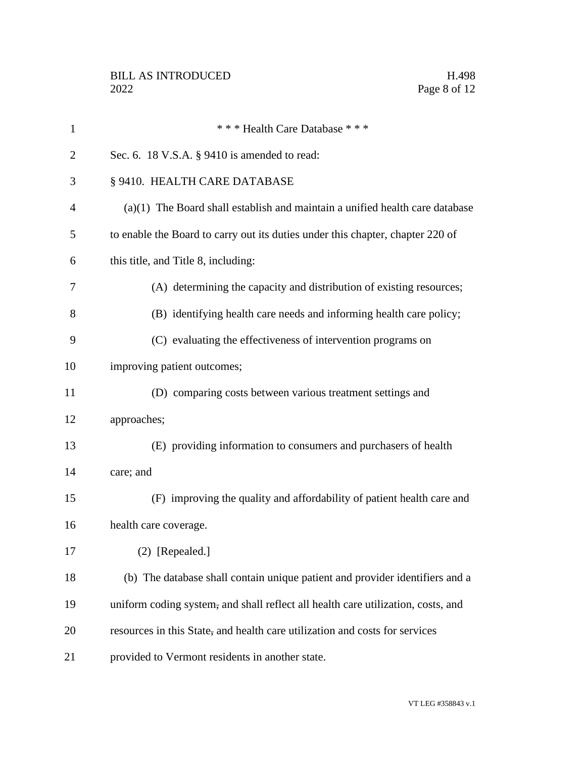| $\mathbf{1}$   | *** Health Care Database ***                                                     |  |
|----------------|----------------------------------------------------------------------------------|--|
| $\overline{2}$ | Sec. 6. 18 V.S.A. § 9410 is amended to read:                                     |  |
| 3              | § 9410. HEALTH CARE DATABASE                                                     |  |
| $\overline{4}$ | $(a)(1)$ The Board shall establish and maintain a unified health care database   |  |
| 5              | to enable the Board to carry out its duties under this chapter, chapter 220 of   |  |
| 6              | this title, and Title 8, including:                                              |  |
| 7              | (A) determining the capacity and distribution of existing resources;             |  |
| 8              | (B) identifying health care needs and informing health care policy;              |  |
| 9              | (C) evaluating the effectiveness of intervention programs on                     |  |
| 10             | improving patient outcomes;                                                      |  |
| 11             | (D) comparing costs between various treatment settings and                       |  |
| 12             | approaches;                                                                      |  |
| 13             | (E) providing information to consumers and purchasers of health                  |  |
| 14             | care; and                                                                        |  |
| 15             | (F) improving the quality and affordability of patient health care and           |  |
| 16             | health care coverage.                                                            |  |
| 17             | $(2)$ [Repealed.]                                                                |  |
| 18             | (b) The database shall contain unique patient and provider identifiers and a     |  |
| 19             | uniform coding system, and shall reflect all health care utilization, costs, and |  |
| 20             | resources in this State, and health care utilization and costs for services      |  |
| 21             | provided to Vermont residents in another state.                                  |  |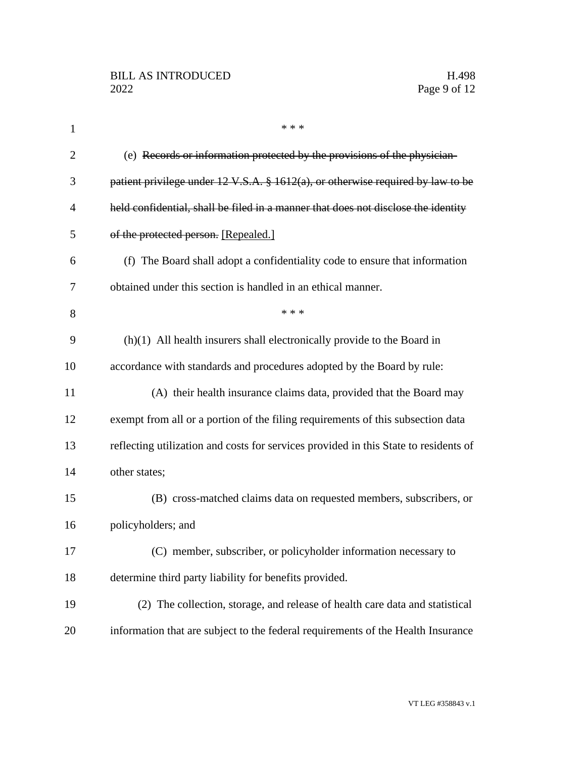| $\mathbf{1}$   | * * *                                                                                       |
|----------------|---------------------------------------------------------------------------------------------|
| $\overline{2}$ | (e) Records or information protected by the provisions of the physician-                    |
| 3              | patient privilege under $12 \text{ V.S.A. }$ \$ 1612(a), or otherwise required by law to be |
| 4              | held confidential, shall be filed in a manner that does not disclose the identity           |
| 5              | of the protected person. [Repealed.]                                                        |
| 6              | (f) The Board shall adopt a confidentiality code to ensure that information                 |
| 7              | obtained under this section is handled in an ethical manner.                                |
| 8              | * * *                                                                                       |
| 9              | $(h)(1)$ All health insurers shall electronically provide to the Board in                   |
| 10             | accordance with standards and procedures adopted by the Board by rule:                      |
| 11             | (A) their health insurance claims data, provided that the Board may                         |
| 12             | exempt from all or a portion of the filing requirements of this subsection data             |
| 13             | reflecting utilization and costs for services provided in this State to residents of        |
| 14             | other states;                                                                               |
| 15             | (B) cross-matched claims data on requested members, subscribers, or                         |
| 16             | policyholders; and                                                                          |
| 17             | (C) member, subscriber, or policyholder information necessary to                            |
| 18             | determine third party liability for benefits provided.                                      |
| 19             | (2) The collection, storage, and release of health care data and statistical                |
| 20             | information that are subject to the federal requirements of the Health Insurance            |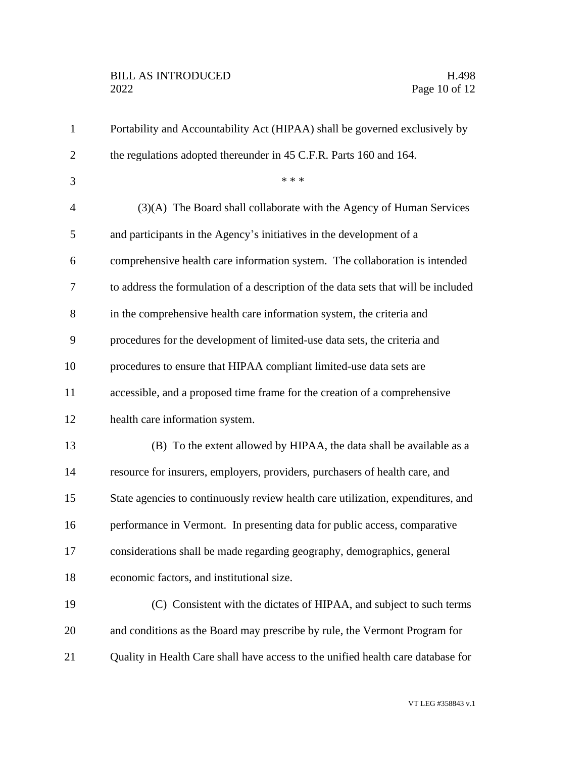## BILL AS INTRODUCED H.498<br>2022 Page 10 of 12

| $\mathbf{1}$   | Portability and Accountability Act (HIPAA) shall be governed exclusively by        |  |
|----------------|------------------------------------------------------------------------------------|--|
| $\overline{2}$ | the regulations adopted thereunder in 45 C.F.R. Parts 160 and 164.                 |  |
| 3              | * * *                                                                              |  |
| $\overline{4}$ | (3)(A) The Board shall collaborate with the Agency of Human Services               |  |
| 5              | and participants in the Agency's initiatives in the development of a               |  |
| 6              | comprehensive health care information system. The collaboration is intended        |  |
| 7              | to address the formulation of a description of the data sets that will be included |  |
| 8              | in the comprehensive health care information system, the criteria and              |  |
| 9              | procedures for the development of limited-use data sets, the criteria and          |  |
| 10             | procedures to ensure that HIPAA compliant limited-use data sets are                |  |
| 11             | accessible, and a proposed time frame for the creation of a comprehensive          |  |
| 12             | health care information system.                                                    |  |
| 13             | (B) To the extent allowed by HIPAA, the data shall be available as a               |  |
| 14             | resource for insurers, employers, providers, purchasers of health care, and        |  |
| 15             | State agencies to continuously review health care utilization, expenditures, and   |  |
| 16             | performance in Vermont. In presenting data for public access, comparative          |  |
| 17             | considerations shall be made regarding geography, demographics, general            |  |
| 18             | economic factors, and institutional size.                                          |  |
| 19             | (C) Consistent with the dictates of HIPAA, and subject to such terms               |  |
| 20             | and conditions as the Board may prescribe by rule, the Vermont Program for         |  |
| 21             | Quality in Health Care shall have access to the unified health care database for   |  |
|                |                                                                                    |  |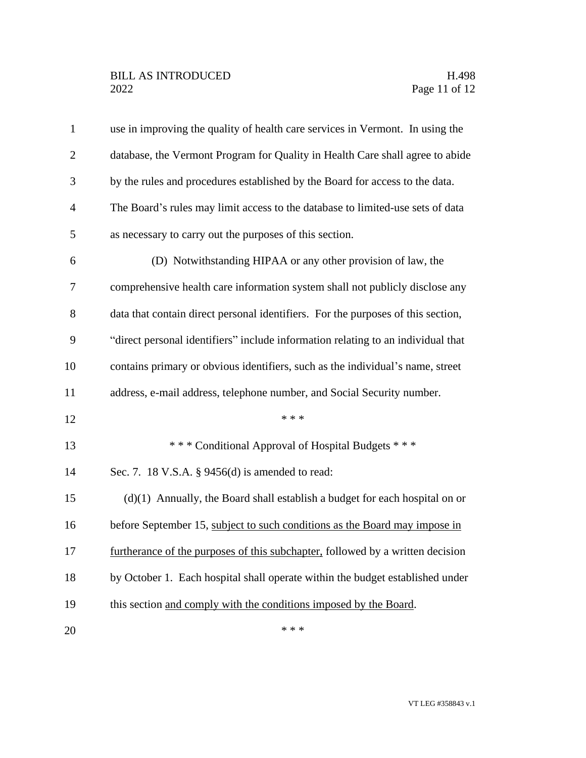| $\mathbf{1}$   | use in improving the quality of health care services in Vermont. In using the    |
|----------------|----------------------------------------------------------------------------------|
| $\overline{2}$ | database, the Vermont Program for Quality in Health Care shall agree to abide    |
| 3              | by the rules and procedures established by the Board for access to the data.     |
| $\overline{4}$ | The Board's rules may limit access to the database to limited-use sets of data   |
| 5              | as necessary to carry out the purposes of this section.                          |
| 6              | (D) Notwithstanding HIPAA or any other provision of law, the                     |
| 7              | comprehensive health care information system shall not publicly disclose any     |
| 8              | data that contain direct personal identifiers. For the purposes of this section, |
| 9              | "direct personal identifiers" include information relating to an individual that |
| 10             | contains primary or obvious identifiers, such as the individual's name, street   |
| 11             | address, e-mail address, telephone number, and Social Security number.           |
| 12             | * * *                                                                            |
| 13             | *** Conditional Approval of Hospital Budgets ***                                 |
| 14             | Sec. 7. 18 V.S.A. § 9456(d) is amended to read:                                  |
| 15             | $(d)(1)$ Annually, the Board shall establish a budget for each hospital on or    |
| 16             | before September 15, subject to such conditions as the Board may impose in       |
| 17             | furtherance of the purposes of this subchapter, followed by a written decision   |
| 18             | by October 1. Each hospital shall operate within the budget established under    |
| 19             | this section and comply with the conditions imposed by the Board.                |
| 20             | * * *                                                                            |